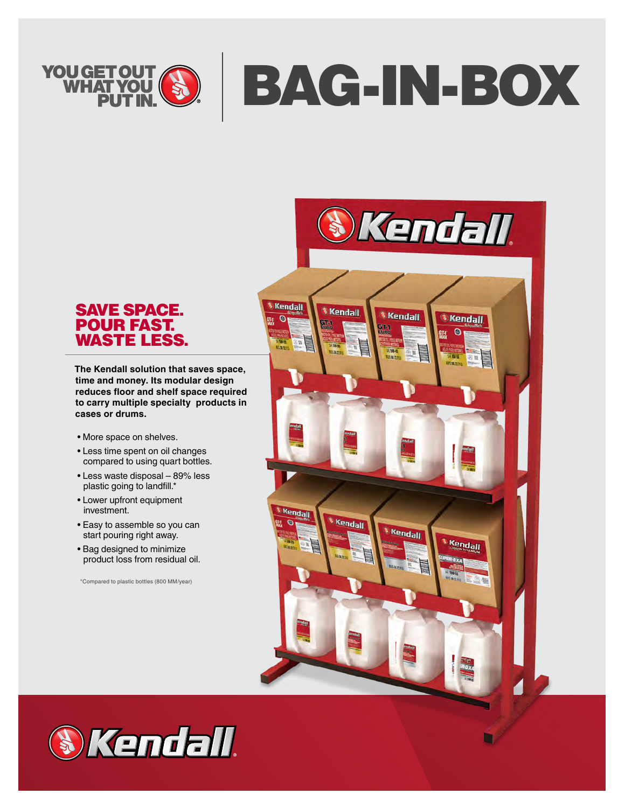

# SAVE SPACE. POUR FAST. WASTE LESS.

**The Kendall solution that saves space, time and money. Its modular design reduces floor and shelf space required to carry multiple specialty products in cases or drums.**

- More space on shelves.
- Less time spent on oil changes compared to using quart bottles.
- Less waste disposal 89% less plastic going to landfill.\*
- Lower upfront equipment investment.
- Easy to assemble so you can start pouring right away.
- Bag designed to minimize product loss from residual oil.

\*Compared to plastic bottles (800 MM/year)



n